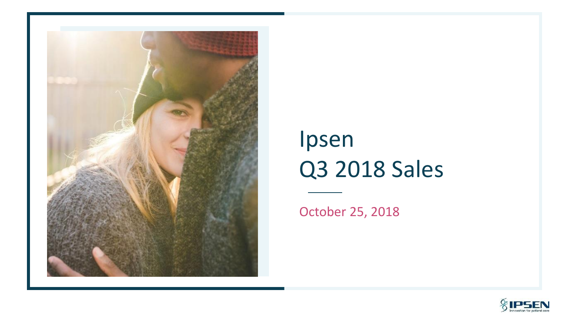

# Ipsen Q3 2018 Sales

October 25, 2018

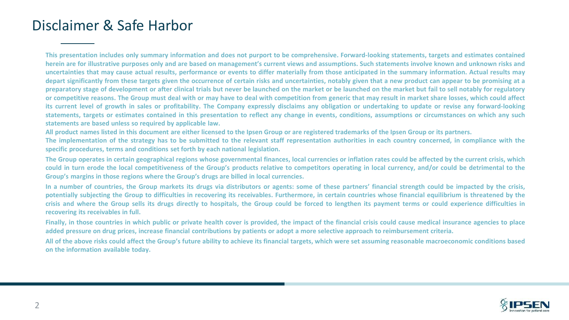# Disclaimer & Safe Harbor

This presentation includes only summary information and does not purport to be comprehensive. Forward-looking statements, targets and estimates contained herein are for illustrative purposes only and are based on management's current views and assumptions. Such statements involve known and unknown risks and uncertainties that may cause actual results, performance or events to differ materially from those anticipated in the summary information. Actual results may depart significantly from these targets given the occurrence of certain risks and uncertainties, notably given that a new product can appear to be promising at a preparatory stage of development or after clinical trials but never be launched on the market or be launched on the market but fail to sell notably for regulatory or competitive reasons. The Group must deal with or may have to deal with competition from generic that may result in market share losses, which could affect its current level of growth in sales or profitability. The Company expressly disclaims any obligation or undertaking to update or revise any forward-looking statements, targets or estimates contained in this presentation to reflect any change in events, conditions, assumptions or circumstances on which any such **statements are based unless so required by applicable law.**

All product names listed in this document are either licensed to the Ipsen Group or are registered trademarks of the Ipsen Group or its partners.

The implementation of the strategy has to be submitted to the relevant staff representation authorities in each country concerned, in compliance with the **specific procedures, terms and conditions set forth by each national legislation.**

The Group operates in certain geographical regions whose governmental finances, local currencies or inflation rates could be affected by the current crisis, which could in turn erode the local competitiveness of the Group's products relative to competitors operating in local currency, and/or could be detrimental to the **Group's margins in those regions where the Group's drugs are billed in local currencies.**

In a number of countries, the Group markets its drugs via distributors or agents; some of these partners' financial strength could be impacted by the crisis. potentially subjecting the Group to difficulties in recovering its receivables. Furthermore, in certain countries whose financial equilibrium is threatened by the crisis and where the Group sells its drugs directly to hospitals, the Group could be forced to lengthen its payment terms or could experience difficulties in **recovering its receivables in full.**

Finally, in those countries in which public or private health cover is provided, the impact of the financial crisis could cause medical insurance agencies to place added pressure on drug prices, increase financial contributions by patients or adopt a more selective approach to reimbursement criteria.

All of the above risks could affect the Group's future ability to achieve its financial targets, which were set assuming reasonable macroeconomic conditions based **on the information available today.**

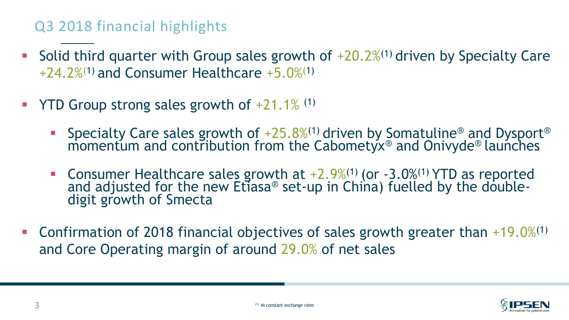# Q3 2018 financial highlights

- **EXECT** Solid third quarter with Group sales growth of  $+20.2\%$ <sup>(1)</sup> driven by Specialty Care  $+24.2\%$ <sup>(1)</sup> and Consumer Healthcare  $+5.0\%$ <sup>(1)</sup>
- **YTD Group strong sales growth of**  $+21.1\%$  **(1)** 
	- **•** Specialty Care sales growth of  $+25.8\%$ <sup>(1)</sup> driven by Somatuline<sup>®</sup> and Dysport<sup>®</sup> momentum and contribution from the Cabometyx® and Onivyde® launches
	- **Consumer Healthcare sales growth at**  $+2.9\%$ **<sup>(1)</sup> (or**  $-3.0\%$ **<sup>(1)</sup> YTD as reported** and adjusted for the new Etiasa® set-up in China) fuelled by the doubledigit growth of Smecta
- **Confirmation of 2018 financial objectives of sales growth greater than +19.0%**<sup>(1)</sup> and Core Operating margin of around 29.0% of net sales

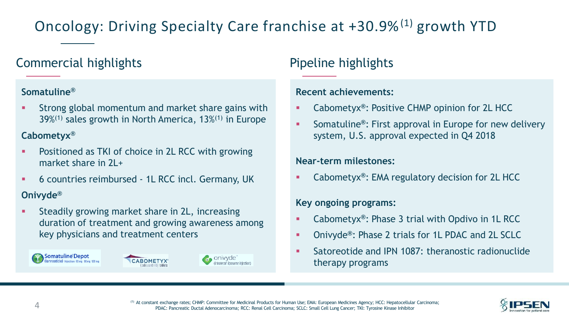# Oncology: Driving Specialty Care franchise at +30.9%<sup>(1)</sup> growth YTD

## Commercial highlights **Pipeline highlights**

#### **Somatuline®**

Strong global momentum and market share gains with 39%(1) sales growth in North America, 13%(1) in Europe

#### **Cabometyx®**

- Positioned as TKI of choice in 2L RCC with growing market share in  $2L +$
- 6 countries reimbursed 1L RCC incl. Germany, UK

#### **Onivyde®**

Steadily growing market share in 2L, increasing duration of treatment and growing awareness among key physicians and treatment centers







#### **Recent achievements:**

- Cabometyx<sup>®</sup>: Positive CHMP opinion for 2L HCC
- Somatuline<sup>®</sup>: First approval in Europe for new delivery system, U.S. approval expected in Q4 2018

#### **Near-term milestones:**

Cabometyx<sup>®</sup>: EMA regulatory decision for 2L HCC

#### **Key ongoing programs:**

- Cabometyx**®**: Phase 3 trial with Opdivo in 1L RCC
- Onivyde**®**: Phase 2 trials for 1L PDAC and 2L SCLC
- Satoreotide and IPN 1087: theranostic radionuclide therapy programs

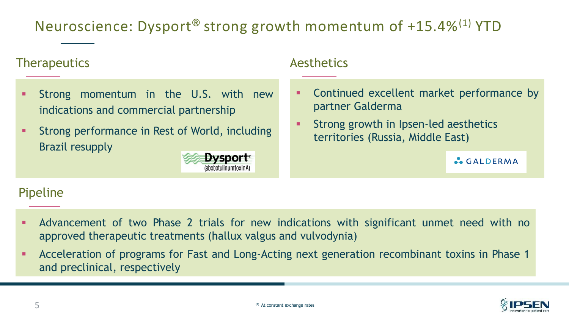# Neuroscience: Dysport**®** strong growth momentum of +15.4%(1) YTD

### Therapeutics and a settlement of the Aesthetics

- Strong momentum in the U.S. with new indications and commercial partnership
- Strong performance in Rest of World, including Brazil resupply



- Continued excellent market performance by partner Galderma
- Strong growth in Ipsen-led aesthetics territories (Russia, Middle East)

**CALDERMA** 

### Pipeline

- Advancement of two Phase 2 trials for new indications with significant unmet need with no approved therapeutic treatments (hallux valgus and vulvodynia)
- Acceleration of programs for Fast and Long-Acting next generation recombinant toxins in Phase 1 and preclinical, respectively

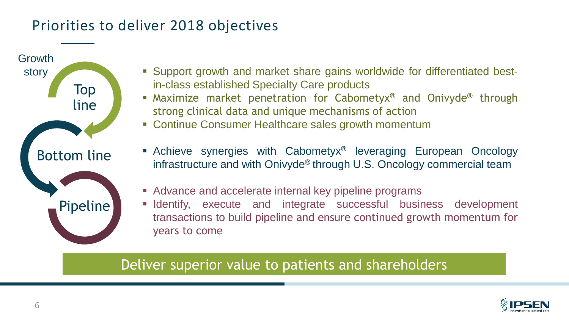# Priorities to deliver 2018 objectives



- story **Example 2018** Support growth and market share gains worldwide for differentiated bestin-class established Specialty Care products
	- Maximize market penetration for Cabometyx**®** and Onivyde**®** through strong clinical data and unique mechanisms of action
	- Continue Consumer Healthcare sales growth momentum
	- Achieve synergies with Cabometyx**®** leveraging European Oncology infrastructure and with Onivyde**®** through U.S. Oncology commercial team
	- Advance and accelerate internal key pipeline programs
	- **Exercise 1** Identify, execute and integrate successful business development transactions to build pipeline and ensure continued growth momentum for years to come

# Deliver superior value to patients and shareholders

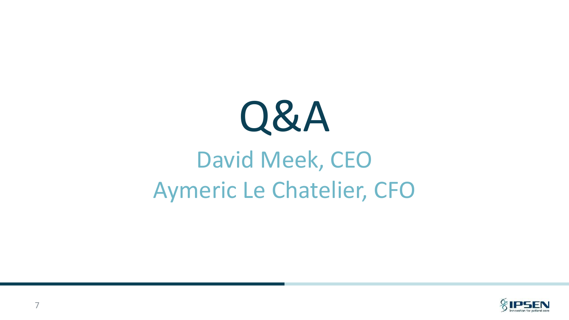

# David Meek, CEO Aymeric Le Chatelier, CFO

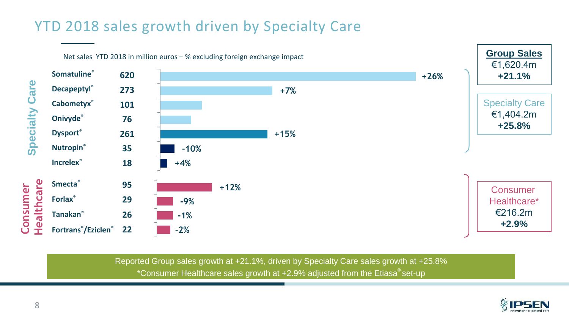# YTD 2018 sales growth driven by Specialty Care



Reported Group sales growth at +21.1%, driven by Specialty Care sales growth at +25.8% \*Consumer Healthcare sales growth at  $+2.9%$  adjusted from the Etiasa®set-up